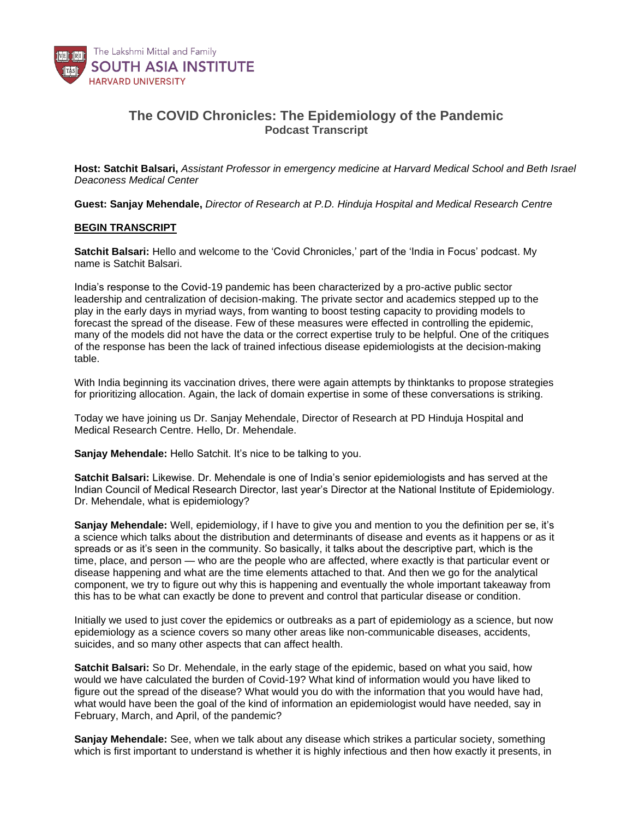

## **The COVID Chronicles: The Epidemiology of the Pandemic** *Podcast Transcript*

**Host: Satchit Balsari,** *Assistant Professor in emergency medicine at Harvard Medical School and Beth Israel Deaconess Medical Center*

**Guest: Sanjay Mehendale,** *Director of Research at P.D. Hinduja Hospital and Medical Research Centre*

## **BEGIN TRANSCRIPT**

**Satchit Balsari:** Hello and welcome to the 'Covid Chronicles,' part of the 'India in Focus' podcast. My name is Satchit Balsari.

India's response to the Covid-19 pandemic has been characterized by a pro-active public sector leadership and centralization of decision-making. The private sector and academics stepped up to the play in the early days in myriad ways, from wanting to boost testing capacity to providing models to forecast the spread of the disease. Few of these measures were effected in controlling the epidemic, many of the models did not have the data or the correct expertise truly to be helpful. One of the critiques of the response has been the lack of trained infectious disease epidemiologists at the decision-making table.

With India beginning its vaccination drives, there were again attempts by thinktanks to propose strategies for prioritizing allocation. Again, the lack of domain expertise in some of these conversations is striking.

Today we have joining us Dr. Sanjay Mehendale, Director of Research at PD Hinduja Hospital and Medical Research Centre. Hello, Dr. Mehendale.

**Sanjay Mehendale:** Hello Satchit. It's nice to be talking to you.

**Satchit Balsari:** Likewise. Dr. Mehendale is one of India's senior epidemiologists and has served at the Indian Council of Medical Research Director, last year's Director at the National Institute of Epidemiology. Dr. Mehendale, what is epidemiology?

**Sanjay Mehendale:** Well, epidemiology, if I have to give you and mention to you the definition per se, it's a science which talks about the distribution and determinants of disease and events as it happens or as it spreads or as it's seen in the community. So basically, it talks about the descriptive part, which is the time, place, and person — who are the people who are affected, where exactly is that particular event or disease happening and what are the time elements attached to that. And then we go for the analytical component, we try to figure out why this is happening and eventually the whole important takeaway from this has to be what can exactly be done to prevent and control that particular disease or condition.

Initially we used to just cover the epidemics or outbreaks as a part of epidemiology as a science, but now epidemiology as a science covers so many other areas like non-communicable diseases, accidents, suicides, and so many other aspects that can affect health.

**Satchit Balsari:** So Dr. Mehendale, in the early stage of the epidemic, based on what you said, how would we have calculated the burden of Covid-19? What kind of information would you have liked to figure out the spread of the disease? What would you do with the information that you would have had, what would have been the goal of the kind of information an epidemiologist would have needed, say in February, March, and April, of the pandemic?

**Sanjay Mehendale:** See, when we talk about any disease which strikes a particular society, something which is first important to understand is whether it is highly infectious and then how exactly it presents, in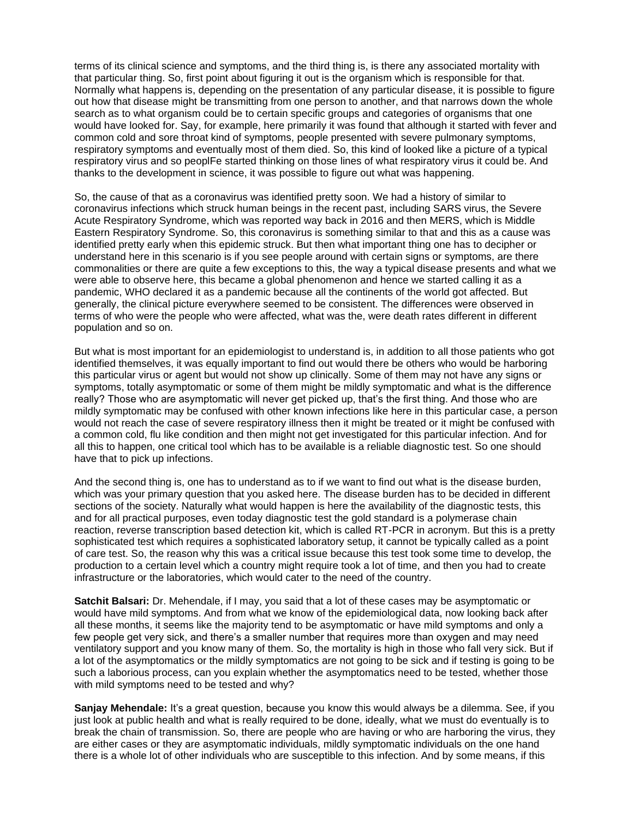terms of its clinical science and symptoms, and the third thing is, is there any associated mortality with that particular thing. So, first point about figuring it out is the organism which is responsible for that. Normally what happens is, depending on the presentation of any particular disease, it is possible to figure out how that disease might be transmitting from one person to another, and that narrows down the whole search as to what organism could be to certain specific groups and categories of organisms that one would have looked for. Say, for example, here primarily it was found that although it started with fever and common cold and sore throat kind of symptoms, people presented with severe pulmonary symptoms, respiratory symptoms and eventually most of them died. So, this kind of looked like a picture of a typical respiratory virus and so peoplFe started thinking on those lines of what respiratory virus it could be. And thanks to the development in science, it was possible to figure out what was happening.

So, the cause of that as a coronavirus was identified pretty soon. We had a history of similar to coronavirus infections which struck human beings in the recent past, including SARS virus, the Severe Acute Respiratory Syndrome, which was reported way back in 2016 and then MERS, which is Middle Eastern Respiratory Syndrome. So, this coronavirus is something similar to that and this as a cause was identified pretty early when this epidemic struck. But then what important thing one has to decipher or understand here in this scenario is if you see people around with certain signs or symptoms, are there commonalities or there are quite a few exceptions to this, the way a typical disease presents and what we were able to observe here, this became a global phenomenon and hence we started calling it as a pandemic, WHO declared it as a pandemic because all the continents of the world got affected. But generally, the clinical picture everywhere seemed to be consistent. The differences were observed in terms of who were the people who were affected, what was the, were death rates different in different population and so on.

But what is most important for an epidemiologist to understand is, in addition to all those patients who got identified themselves, it was equally important to find out would there be others who would be harboring this particular virus or agent but would not show up clinically. Some of them may not have any signs or symptoms, totally asymptomatic or some of them might be mildly symptomatic and what is the difference really? Those who are asymptomatic will never get picked up, that's the first thing. And those who are mildly symptomatic may be confused with other known infections like here in this particular case, a person would not reach the case of severe respiratory illness then it might be treated or it might be confused with a common cold, flu like condition and then might not get investigated for this particular infection. And for all this to happen, one critical tool which has to be available is a reliable diagnostic test. So one should have that to pick up infections.

And the second thing is, one has to understand as to if we want to find out what is the disease burden, which was your primary question that you asked here. The disease burden has to be decided in different sections of the society. Naturally what would happen is here the availability of the diagnostic tests, this and for all practical purposes, even today diagnostic test the gold standard is a polymerase chain reaction, reverse transcription based detection kit, which is called RT-PCR in acronym. But this is a pretty sophisticated test which requires a sophisticated laboratory setup, it cannot be typically called as a point of care test. So, the reason why this was a critical issue because this test took some time to develop, the production to a certain level which a country might require took a lot of time, and then you had to create infrastructure or the laboratories, which would cater to the need of the country.

**Satchit Balsari:** Dr. Mehendale, if I may, you said that a lot of these cases may be asymptomatic or would have mild symptoms. And from what we know of the epidemiological data, now looking back after all these months, it seems like the majority tend to be asymptomatic or have mild symptoms and only a few people get very sick, and there's a smaller number that requires more than oxygen and may need ventilatory support and you know many of them. So, the mortality is high in those who fall very sick. But if a lot of the asymptomatics or the mildly symptomatics are not going to be sick and if testing is going to be such a laborious process, can you explain whether the asymptomatics need to be tested, whether those with mild symptoms need to be tested and why?

**Sanjay Mehendale:** It's a great question, because you know this would always be a dilemma. See, if you just look at public health and what is really required to be done, ideally, what we must do eventually is to break the chain of transmission. So, there are people who are having or who are harboring the virus, they are either cases or they are asymptomatic individuals, mildly symptomatic individuals on the one hand there is a whole lot of other individuals who are susceptible to this infection. And by some means, if this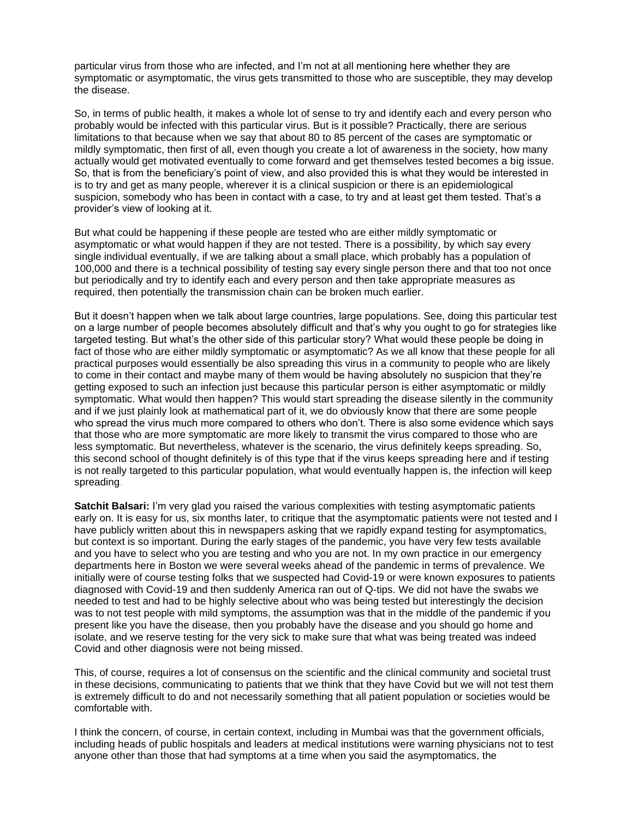particular virus from those who are infected, and I'm not at all mentioning here whether they are symptomatic or asymptomatic, the virus gets transmitted to those who are susceptible, they may develop the disease.

So, in terms of public health, it makes a whole lot of sense to try and identify each and every person who probably would be infected with this particular virus. But is it possible? Practically, there are serious limitations to that because when we say that about 80 to 85 percent of the cases are symptomatic or mildly symptomatic, then first of all, even though you create a lot of awareness in the society, how many actually would get motivated eventually to come forward and get themselves tested becomes a big issue. So, that is from the beneficiary's point of view, and also provided this is what they would be interested in is to try and get as many people, wherever it is a clinical suspicion or there is an epidemiological suspicion, somebody who has been in contact with a case, to try and at least get them tested. That's a provider's view of looking at it.

But what could be happening if these people are tested who are either mildly symptomatic or asymptomatic or what would happen if they are not tested. There is a possibility, by which say every single individual eventually, if we are talking about a small place, which probably has a population of 100,000 and there is a technical possibility of testing say every single person there and that too not once but periodically and try to identify each and every person and then take appropriate measures as required, then potentially the transmission chain can be broken much earlier.

But it doesn't happen when we talk about large countries, large populations. See, doing this particular test on a large number of people becomes absolutely difficult and that's why you ought to go for strategies like targeted testing. But what's the other side of this particular story? What would these people be doing in fact of those who are either mildly symptomatic or asymptomatic? As we all know that these people for all practical purposes would essentially be also spreading this virus in a community to people who are likely to come in their contact and maybe many of them would be having absolutely no suspicion that they're getting exposed to such an infection just because this particular person is either asymptomatic or mildly symptomatic. What would then happen? This would start spreading the disease silently in the community and if we just plainly look at mathematical part of it, we do obviously know that there are some people who spread the virus much more compared to others who don't. There is also some evidence which says that those who are more symptomatic are more likely to transmit the virus compared to those who are less symptomatic. But nevertheless, whatever is the scenario, the virus definitely keeps spreading. So, this second school of thought definitely is of this type that if the virus keeps spreading here and if testing is not really targeted to this particular population, what would eventually happen is, the infection will keep spreading.

**Satchit Balsari:** I'm very glad you raised the various complexities with testing asymptomatic patients early on. It is easy for us, six months later, to critique that the asymptomatic patients were not tested and I have publicly written about this in newspapers asking that we rapidly expand testing for asymptomatics, but context is so important. During the early stages of the pandemic, you have very few tests available and you have to select who you are testing and who you are not. In my own practice in our emergency departments here in Boston we were several weeks ahead of the pandemic in terms of prevalence. We initially were of course testing folks that we suspected had Covid-19 or were known exposures to patients diagnosed with Covid-19 and then suddenly America ran out of Q-tips. We did not have the swabs we needed to test and had to be highly selective about who was being tested but interestingly the decision was to not test people with mild symptoms, the assumption was that in the middle of the pandemic if you present like you have the disease, then you probably have the disease and you should go home and isolate, and we reserve testing for the very sick to make sure that what was being treated was indeed Covid and other diagnosis were not being missed.

This, of course, requires a lot of consensus on the scientific and the clinical community and societal trust in these decisions, communicating to patients that we think that they have Covid but we will not test them is extremely difficult to do and not necessarily something that all patient population or societies would be comfortable with.

I think the concern, of course, in certain context, including in Mumbai was that the government officials, including heads of public hospitals and leaders at medical institutions were warning physicians not to test anyone other than those that had symptoms at a time when you said the asymptomatics, the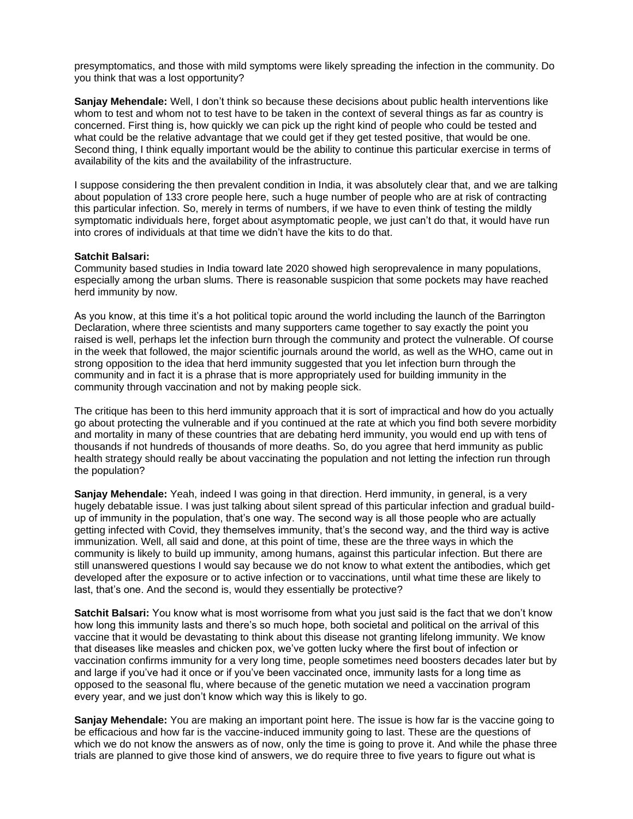presymptomatics, and those with mild symptoms were likely spreading the infection in the community. Do you think that was a lost opportunity?

**Sanjay Mehendale:** Well, I don't think so because these decisions about public health interventions like whom to test and whom not to test have to be taken in the context of several things as far as country is concerned. First thing is, how quickly we can pick up the right kind of people who could be tested and what could be the relative advantage that we could get if they get tested positive, that would be one. Second thing, I think equally important would be the ability to continue this particular exercise in terms of availability of the kits and the availability of the infrastructure.

I suppose considering the then prevalent condition in India, it was absolutely clear that, and we are talking about population of 133 crore people here, such a huge number of people who are at risk of contracting this particular infection. So, merely in terms of numbers, if we have to even think of testing the mildly symptomatic individuals here, forget about asymptomatic people, we just can't do that, it would have run into crores of individuals at that time we didn't have the kits to do that.

## **Satchit Balsari:**

Community based studies in India toward late 2020 showed high seroprevalence in many populations, especially among the urban slums. There is reasonable suspicion that some pockets may have reached herd immunity by now.

As you know, at this time it's a hot political topic around the world including the launch of the Barrington Declaration, where three scientists and many supporters came together to say exactly the point you raised is well, perhaps let the infection burn through the community and protect the vulnerable. Of course in the week that followed, the major scientific journals around the world, as well as the WHO, came out in strong opposition to the idea that herd immunity suggested that you let infection burn through the community and in fact it is a phrase that is more appropriately used for building immunity in the community through vaccination and not by making people sick.

The critique has been to this herd immunity approach that it is sort of impractical and how do you actually go about protecting the vulnerable and if you continued at the rate at which you find both severe morbidity and mortality in many of these countries that are debating herd immunity, you would end up with tens of thousands if not hundreds of thousands of more deaths. So, do you agree that herd immunity as public health strategy should really be about vaccinating the population and not letting the infection run through the population?

**Sanjay Mehendale:** Yeah, indeed I was going in that direction. Herd immunity, in general, is a very hugely debatable issue. I was just talking about silent spread of this particular infection and gradual buildup of immunity in the population, that's one way. The second way is all those people who are actually getting infected with Covid, they themselves immunity, that's the second way, and the third way is active immunization. Well, all said and done, at this point of time, these are the three ways in which the community is likely to build up immunity, among humans, against this particular infection. But there are still unanswered questions I would say because we do not know to what extent the antibodies, which get developed after the exposure or to active infection or to vaccinations, until what time these are likely to last, that's one. And the second is, would they essentially be protective?

**Satchit Balsari:** You know what is most worrisome from what you just said is the fact that we don't know how long this immunity lasts and there's so much hope, both societal and political on the arrival of this vaccine that it would be devastating to think about this disease not granting lifelong immunity. We know that diseases like measles and chicken pox, we've gotten lucky where the first bout of infection or vaccination confirms immunity for a very long time, people sometimes need boosters decades later but by and large if you've had it once or if you've been vaccinated once, immunity lasts for a long time as opposed to the seasonal flu, where because of the genetic mutation we need a vaccination program every year, and we just don't know which way this is likely to go.

**Sanjay Mehendale:** You are making an important point here. The issue is how far is the vaccine going to be efficacious and how far is the vaccine-induced immunity going to last. These are the questions of which we do not know the answers as of now, only the time is going to prove it. And while the phase three trials are planned to give those kind of answers, we do require three to five years to figure out what is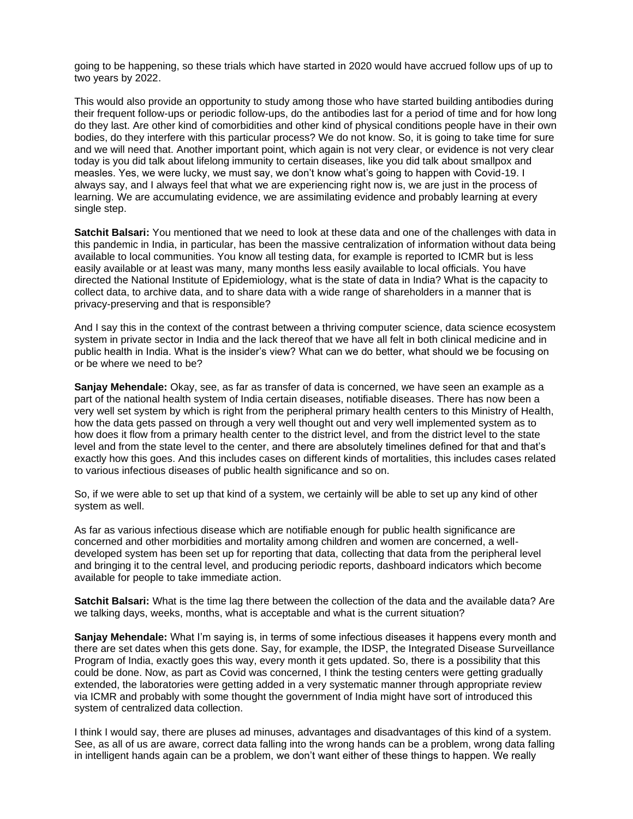going to be happening, so these trials which have started in 2020 would have accrued follow ups of up to two years by 2022.

This would also provide an opportunity to study among those who have started building antibodies during their frequent follow-ups or periodic follow-ups, do the antibodies last for a period of time and for how long do they last. Are other kind of comorbidities and other kind of physical conditions people have in their own bodies, do they interfere with this particular process? We do not know. So, it is going to take time for sure and we will need that. Another important point, which again is not very clear, or evidence is not very clear today is you did talk about lifelong immunity to certain diseases, like you did talk about smallpox and measles. Yes, we were lucky, we must say, we don't know what's going to happen with Covid-19. I always say, and I always feel that what we are experiencing right now is, we are just in the process of learning. We are accumulating evidence, we are assimilating evidence and probably learning at every single step.

**Satchit Balsari:** You mentioned that we need to look at these data and one of the challenges with data in this pandemic in India, in particular, has been the massive centralization of information without data being available to local communities. You know all testing data, for example is reported to ICMR but is less easily available or at least was many, many months less easily available to local officials. You have directed the National Institute of Epidemiology, what is the state of data in India? What is the capacity to collect data, to archive data, and to share data with a wide range of shareholders in a manner that is privacy-preserving and that is responsible?

And I say this in the context of the contrast between a thriving computer science, data science ecosystem system in private sector in India and the lack thereof that we have all felt in both clinical medicine and in public health in India. What is the insider's view? What can we do better, what should we be focusing on or be where we need to be?

**Sanjay Mehendale:** Okay, see, as far as transfer of data is concerned, we have seen an example as a part of the national health system of India certain diseases, notifiable diseases. There has now been a very well set system by which is right from the peripheral primary health centers to this Ministry of Health, how the data gets passed on through a very well thought out and very well implemented system as to how does it flow from a primary health center to the district level, and from the district level to the state level and from the state level to the center, and there are absolutely timelines defined for that and that's exactly how this goes. And this includes cases on different kinds of mortalities, this includes cases related to various infectious diseases of public health significance and so on.

So, if we were able to set up that kind of a system, we certainly will be able to set up any kind of other system as well.

As far as various infectious disease which are notifiable enough for public health significance are concerned and other morbidities and mortality among children and women are concerned, a welldeveloped system has been set up for reporting that data, collecting that data from the peripheral level and bringing it to the central level, and producing periodic reports, dashboard indicators which become available for people to take immediate action.

**Satchit Balsari:** What is the time lag there between the collection of the data and the available data? Are we talking days, weeks, months, what is acceptable and what is the current situation?

**Sanjay Mehendale:** What I'm saying is, in terms of some infectious diseases it happens every month and there are set dates when this gets done. Say, for example, the IDSP, the Integrated Disease Surveillance Program of India, exactly goes this way, every month it gets updated. So, there is a possibility that this could be done. Now, as part as Covid was concerned, I think the testing centers were getting gradually extended, the laboratories were getting added in a very systematic manner through appropriate review via ICMR and probably with some thought the government of India might have sort of introduced this system of centralized data collection.

I think I would say, there are pluses ad minuses, advantages and disadvantages of this kind of a system. See, as all of us are aware, correct data falling into the wrong hands can be a problem, wrong data falling in intelligent hands again can be a problem, we don't want either of these things to happen. We really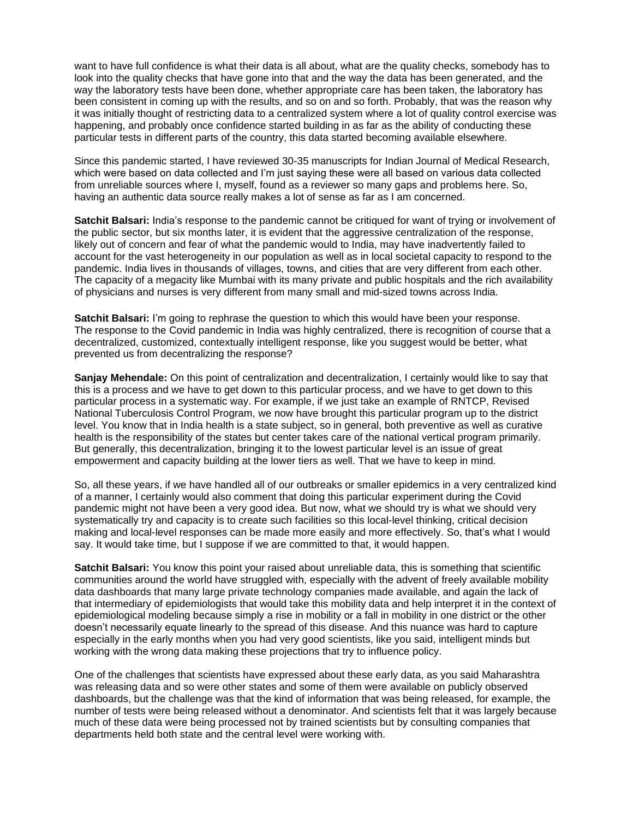want to have full confidence is what their data is all about, what are the quality checks, somebody has to look into the quality checks that have gone into that and the way the data has been generated, and the way the laboratory tests have been done, whether appropriate care has been taken, the laboratory has been consistent in coming up with the results, and so on and so forth. Probably, that was the reason why it was initially thought of restricting data to a centralized system where a lot of quality control exercise was happening, and probably once confidence started building in as far as the ability of conducting these particular tests in different parts of the country, this data started becoming available elsewhere.

Since this pandemic started, I have reviewed 30-35 manuscripts for Indian Journal of Medical Research, which were based on data collected and I'm just saying these were all based on various data collected from unreliable sources where I, myself, found as a reviewer so many gaps and problems here. So, having an authentic data source really makes a lot of sense as far as I am concerned.

**Satchit Balsari:** India's response to the pandemic cannot be critiqued for want of trying or involvement of the public sector, but six months later, it is evident that the aggressive centralization of the response, likely out of concern and fear of what the pandemic would to India, may have inadvertently failed to account for the vast heterogeneity in our population as well as in local societal capacity to respond to the pandemic. India lives in thousands of villages, towns, and cities that are very different from each other. The capacity of a megacity like Mumbai with its many private and public hospitals and the rich availability of physicians and nurses is very different from many small and mid-sized towns across India.

**Satchit Balsari:** I'm going to rephrase the question to which this would have been your response. The response to the Covid pandemic in India was highly centralized, there is recognition of course that a decentralized, customized, contextually intelligent response, like you suggest would be better, what prevented us from decentralizing the response?

**Sanjay Mehendale:** On this point of centralization and decentralization, I certainly would like to say that this is a process and we have to get down to this particular process, and we have to get down to this particular process in a systematic way. For example, if we just take an example of RNTCP, Revised National Tuberculosis Control Program, we now have brought this particular program up to the district level. You know that in India health is a state subject, so in general, both preventive as well as curative health is the responsibility of the states but center takes care of the national vertical program primarily. But generally, this decentralization, bringing it to the lowest particular level is an issue of great empowerment and capacity building at the lower tiers as well. That we have to keep in mind.

So, all these years, if we have handled all of our outbreaks or smaller epidemics in a very centralized kind of a manner, I certainly would also comment that doing this particular experiment during the Covid pandemic might not have been a very good idea. But now, what we should try is what we should very systematically try and capacity is to create such facilities so this local-level thinking, critical decision making and local-level responses can be made more easily and more effectively. So, that's what I would say. It would take time, but I suppose if we are committed to that, it would happen.

**Satchit Balsari:** You know this point your raised about unreliable data, this is something that scientific communities around the world have struggled with, especially with the advent of freely available mobility data dashboards that many large private technology companies made available, and again the lack of that intermediary of epidemiologists that would take this mobility data and help interpret it in the context of epidemiological modeling because simply a rise in mobility or a fall in mobility in one district or the other doesn't necessarily equate linearly to the spread of this disease. And this nuance was hard to capture especially in the early months when you had very good scientists, like you said, intelligent minds but working with the wrong data making these projections that try to influence policy.

One of the challenges that scientists have expressed about these early data, as you said Maharashtra was releasing data and so were other states and some of them were available on publicly observed dashboards, but the challenge was that the kind of information that was being released, for example, the number of tests were being released without a denominator. And scientists felt that it was largely because much of these data were being processed not by trained scientists but by consulting companies that departments held both state and the central level were working with.